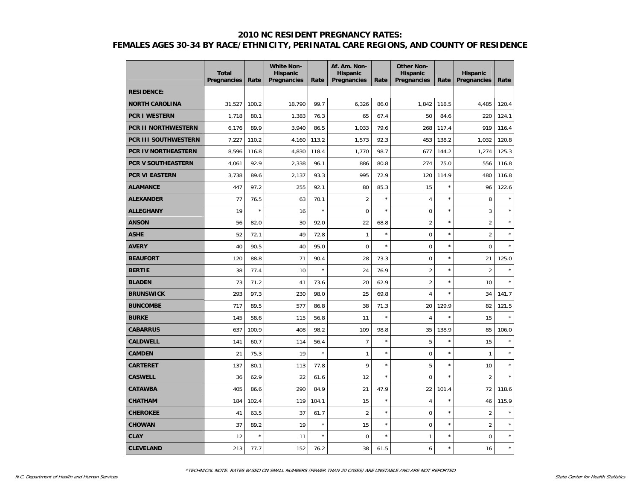|                             | <b>Total</b><br><b>Pregnancies</b> | Rate    | <b>White Non-</b><br><b>Hispanic</b><br><b>Pregnancies</b> | Rate    | Af. Am. Non-<br><b>Hispanic</b><br>Pregnancies | Rate    | <b>Other Non-</b><br><b>Hispanic</b><br>Pregnancies | Rate       | <b>Hispanic</b><br>Pregnancies | Rate    |
|-----------------------------|------------------------------------|---------|------------------------------------------------------------|---------|------------------------------------------------|---------|-----------------------------------------------------|------------|--------------------------------|---------|
| <b>RESIDENCE:</b>           |                                    |         |                                                            |         |                                                |         |                                                     |            |                                |         |
| <b>NORTH CAROLINA</b>       | 31,527                             | 100.2   | 18,790                                                     | 99.7    | 6,326                                          | 86.0    | 1,842                                               | 118.5      | 4,485                          | 120.4   |
| <b>PCR I WESTERN</b>        | 1,718                              | 80.1    | 1,383                                                      | 76.3    | 65                                             | 67.4    | 50                                                  | 84.6       | 220                            | 124.1   |
| <b>PCR II NORTHWESTERN</b>  | 6,176                              | 89.9    | 3,940                                                      | 86.5    | 1,033                                          | 79.6    | 268                                                 | 117.4      | 919                            | 116.4   |
| <b>PCR III SOUTHWESTERN</b> | 7,227                              | 110.2   | 4,160                                                      | 113.2   | 1,573                                          | 92.3    | 453                                                 | 138.2      | 1,032                          | 120.8   |
| <b>PCR IV NORTHEASTERN</b>  | 8,596                              | 116.8   | 4,830                                                      | 118.4   | 1,770                                          | 98.7    | 677                                                 | 144.2      | 1,274                          | 125.3   |
| PCR V SOUTHEASTERN          | 4,061                              | 92.9    | 2,338                                                      | 96.1    | 886                                            | 80.8    | 274                                                 | 75.0       | 556                            | 116.8   |
| <b>PCR VI EASTERN</b>       | 3,738                              | 89.6    | 2,137                                                      | 93.3    | 995                                            | 72.9    | 120                                                 | 114.9      | 480                            | 116.8   |
| <b>ALAMANCE</b>             | 447                                | 97.2    | 255                                                        | 92.1    | 80                                             | 85.3    | 15                                                  | $\star$    | 96                             | 122.6   |
| <b>ALEXANDER</b>            | 77                                 | 76.5    | 63                                                         | 70.1    | $\overline{2}$                                 | $\star$ | 4                                                   | $\star$    | 8                              |         |
| <b>ALLEGHANY</b>            | 19                                 | $\star$ | 16                                                         | $\star$ | $\mathbf 0$                                    | $\star$ | $\mathbf 0$                                         | $\star$    | 3                              |         |
| <b>ANSON</b>                | 56                                 | 82.0    | 30                                                         | 92.0    | 22                                             | 68.8    | $\overline{2}$                                      | $\star$    | $\overline{2}$                 |         |
| <b>ASHE</b>                 | 52                                 | 72.1    | 49                                                         | 72.8    | $\mathbf{1}$                                   | $\star$ | $\boldsymbol{0}$                                    | $\star$    | $\overline{2}$                 |         |
| <b>AVERY</b>                | 40                                 | 90.5    | 40                                                         | 95.0    | $\mathbf 0$                                    | $\star$ | 0                                                   | $\star$    | $\mathbf 0$                    |         |
| <b>BEAUFORT</b>             | 120                                | 88.8    | 71                                                         | 90.4    | 28                                             | 73.3    | $\mathbf 0$                                         | $\star$    | 21                             | 125.0   |
| <b>BERTIE</b>               | 38                                 | 77.4    | 10                                                         | ×       | 24                                             | 76.9    | $\overline{2}$                                      | $\star$    | $\overline{2}$                 |         |
| <b>BLADEN</b>               | 73                                 | 71.2    | 41                                                         | 73.6    | 20                                             | 62.9    | $\overline{2}$                                      | $\star$    | 10                             |         |
| <b>BRUNSWICK</b>            | 293                                | 97.3    | 230                                                        | 98.0    | 25                                             | 69.8    | $\overline{4}$                                      | $\star$    | 34                             | 141.7   |
| <b>BUNCOMBE</b>             | 717                                | 89.5    | 577                                                        | 86.8    | 38                                             | 71.3    | 20                                                  | 129.9      | 82                             | 121.5   |
| <b>BURKE</b>                | 145                                | 58.6    | 115                                                        | 56.8    | 11                                             | $\star$ | $\overline{4}$                                      | $\star$    | 15                             |         |
| <b>CABARRUS</b>             | 637                                | 100.9   | 408                                                        | 98.2    | 109                                            | 98.8    | 35                                                  | 138.9      | 85                             | 106.0   |
| <b>CALDWELL</b>             | 141                                | 60.7    | 114                                                        | 56.4    | $\overline{7}$                                 | $\star$ | 5                                                   | $\star$    | 15                             |         |
| <b>CAMDEN</b>               | 21                                 | 75.3    | 19                                                         | $\star$ | $\mathbf{1}$                                   | $\star$ | $\mathbf 0$                                         | $\star$    | $\mathbf{1}$                   |         |
| <b>CARTERET</b>             | 137                                | 80.1    | 113                                                        | 77.8    | 9                                              | $\star$ | 5                                                   | $\star$    | 10                             |         |
| <b>CASWELL</b>              | 36                                 | 62.9    | 22                                                         | 61.6    | 12                                             | $\star$ | $\mathbf 0$                                         | $\star$    | $\overline{2}$                 | $\star$ |
| <b>CATAWBA</b>              | 405                                | 86.6    | 290                                                        | 84.9    | 21                                             | 47.9    | 22                                                  | 101.4      | 72                             | 118.6   |
| <b>CHATHAM</b>              | 184                                | 102.4   | 119                                                        | 104.1   | 15                                             | $\star$ | $\overline{4}$                                      | $\star$    | 46                             | 115.9   |
| <b>CHEROKEE</b>             | 41                                 | 63.5    | 37                                                         | 61.7    | $\overline{2}$                                 | $\star$ | 0                                                   | $^{\star}$ | $\overline{2}$                 |         |
| <b>CHOWAN</b>               | 37                                 | 89.2    | 19                                                         | $\star$ | 15                                             | $\star$ | $\mathbf 0$                                         | $\star$    | $\overline{2}$                 |         |
| <b>CLAY</b>                 | 12                                 | $\star$ | 11                                                         | $\star$ | $\mathbf 0$                                    | $\star$ | $\mathbf{1}$                                        | $\star$    | $\mathbf 0$                    | $\star$ |
| <b>CLEVELAND</b>            | 213                                | 77.7    | 152                                                        | 76.2    | 38                                             | 61.5    | 6                                                   | $\star$    | 16                             | $\star$ |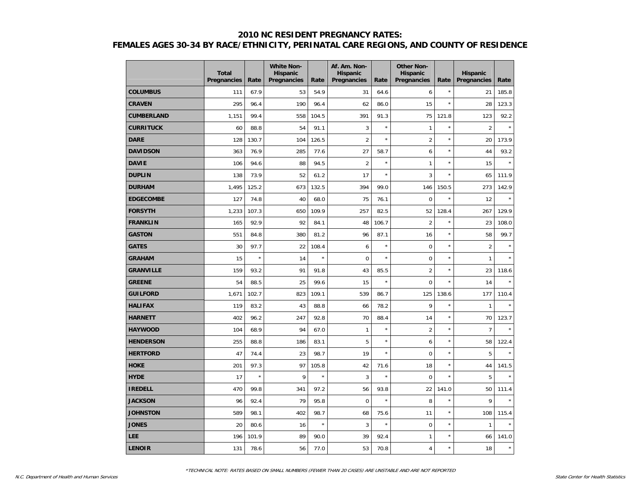|                   | <b>Total</b><br>Pregnancies | Rate    | <b>White Non-</b><br><b>Hispanic</b><br>Pregnancies | Rate    | Af. Am. Non-<br><b>Hispanic</b><br>Pregnancies | Rate    | <b>Other Non-</b><br><b>Hispanic</b><br>Pregnancies | Rate       | <b>Hispanic</b><br>Pregnancies | Rate    |
|-------------------|-----------------------------|---------|-----------------------------------------------------|---------|------------------------------------------------|---------|-----------------------------------------------------|------------|--------------------------------|---------|
| <b>COLUMBUS</b>   | 111                         | 67.9    | 53                                                  | 54.9    | 31                                             | 64.6    | 6                                                   | $^{\star}$ | 21                             | 185.8   |
| <b>CRAVEN</b>     | 295                         | 96.4    | 190                                                 | 96.4    | 62                                             | 86.0    | 15                                                  | ×          | 28                             | 123.3   |
| <b>CUMBERLAND</b> | 1,151                       | 99.4    | 558                                                 | 104.5   | 391                                            | 91.3    | 75                                                  | 121.8      | 123                            | 92.2    |
| <b>CURRITUCK</b>  | 60                          | 88.8    | 54                                                  | 91.1    | 3                                              | $\star$ | $\mathbf{1}$                                        | $\star$    | $\overline{2}$                 | $\star$ |
| <b>DARE</b>       | 128                         | 130.7   | 104                                                 | 126.5   | $\overline{2}$                                 | $\star$ | $\overline{2}$                                      | ×          | 20                             | 173.9   |
| <b>DAVIDSON</b>   | 363                         | 76.9    | 285                                                 | 77.6    | 27                                             | 58.7    | 6                                                   | ×          | 44                             | 93.2    |
| <b>DAVIE</b>      | 106                         | 94.6    | 88                                                  | 94.5    | $\overline{2}$                                 | $\star$ | $\mathbf{1}$                                        | ×          | 15                             | $\star$ |
| <b>DUPLIN</b>     | 138                         | 73.9    | 52                                                  | 61.2    | 17                                             | $\star$ | 3                                                   | ×          | 65                             | 111.9   |
| <b>DURHAM</b>     | 1,495                       | 125.2   | 673                                                 | 132.5   | 394                                            | 99.0    | 146                                                 | 150.5      | 273                            | 142.9   |
| <b>EDGECOMBE</b>  | 127                         | 74.8    | 40                                                  | 68.0    | 75                                             | 76.1    | $\mathbf 0$                                         | $\star$    | 12                             | $\star$ |
| <b>FORSYTH</b>    | 1,233                       | 107.3   | 650                                                 | 109.9   | 257                                            | 82.5    | 52                                                  | 128.4      | 267                            | 129.9   |
| <b>FRANKLIN</b>   | 165                         | 92.9    | 92                                                  | 84.1    | 48                                             | 106.7   | $\overline{2}$                                      | ×          | 23                             | 108.0   |
| <b>GASTON</b>     | 551                         | 84.8    | 380                                                 | 81.2    | 96                                             | 87.1    | 16                                                  | ×          | 58                             | 99.7    |
| <b>GATES</b>      | 30                          | 97.7    | 22                                                  | 108.4   | 6                                              | $\star$ | $\mathbf 0$                                         | $\star$    | $\overline{2}$                 |         |
| <b>GRAHAM</b>     | 15                          | $\star$ | 14                                                  | $\star$ | $\mathbf 0$                                    | $\star$ | $\mathbf 0$                                         | $\star$    | $\mathbf{1}$                   |         |
| <b>GRANVILLE</b>  | 159                         | 93.2    | 91                                                  | 91.8    | 43                                             | 85.5    | $\overline{2}$                                      | $^{\star}$ | 23                             | 118.6   |
| <b>GREENE</b>     | 54                          | 88.5    | 25                                                  | 99.6    | 15                                             | $\star$ | $\mathbf 0$                                         | ×          | 14                             | $\star$ |
| <b>GUILFORD</b>   | 1,671                       | 102.7   | 823                                                 | 109.1   | 539                                            | 86.7    | 125                                                 | 138.6      | 177                            | 110.4   |
| <b>HALIFAX</b>    | 119                         | 83.2    | 43                                                  | 88.8    | 66                                             | 78.2    | 9                                                   | ×          | $\mathbf{1}$                   | ×       |
| <b>HARNETT</b>    | 402                         | 96.2    | 247                                                 | 92.8    | 70                                             | 88.4    | 14                                                  | $\star$    | 70                             | 123.7   |
| <b>HAYWOOD</b>    | 104                         | 68.9    | 94                                                  | 67.0    | $\mathbf{1}$                                   | $\star$ | $\overline{2}$                                      | $\star$    | $\overline{7}$                 |         |
| <b>HENDERSON</b>  | 255                         | 88.8    | 186                                                 | 83.1    | 5                                              | $\star$ | 6                                                   | $\star$    | 58                             | 122.4   |
| <b>HERTFORD</b>   | 47                          | 74.4    | 23                                                  | 98.7    | 19                                             | $\star$ | $\mathbf 0$                                         | ×          | 5                              | ×       |
| <b>HOKE</b>       | 201                         | 97.3    | 97                                                  | 105.8   | 42                                             | 71.6    | 18                                                  | ×          | 44                             | 141.5   |
| <b>HYDE</b>       | 17                          | $\star$ | 9                                                   | $\star$ | 3                                              | $\star$ | $\Omega$                                            | ×          | 5                              | ×       |
| <b>IREDELL</b>    | 470                         | 99.8    | 341                                                 | 97.2    | 56                                             | 93.8    | 22                                                  | 141.0      | 50                             | 111.4   |
| <b>JACKSON</b>    | 96                          | 92.4    | 79                                                  | 95.8    | $\mathbf 0$                                    | $\star$ | 8                                                   | $\star$    | 9                              | ×       |
| <b>JOHNSTON</b>   | 589                         | 98.1    | 402                                                 | 98.7    | 68                                             | 75.6    | 11                                                  | ×          | 108                            | 115.4   |
| <b>JONES</b>      | 20                          | 80.6    | 16                                                  | $\star$ | 3                                              | $\star$ | $\mathbf 0$                                         | ×          | $\mathbf{1}$                   |         |
| LEE               | 196                         | 101.9   | 89                                                  | 90.0    | 39                                             | 92.4    | $\mathbf{1}$                                        | ×          | 66                             | 141.0   |
| <b>LENOIR</b>     | 131                         | 78.6    | 56                                                  | 77.0    | 53                                             | 70.8    | $\overline{4}$                                      | ×          | 18                             | $\star$ |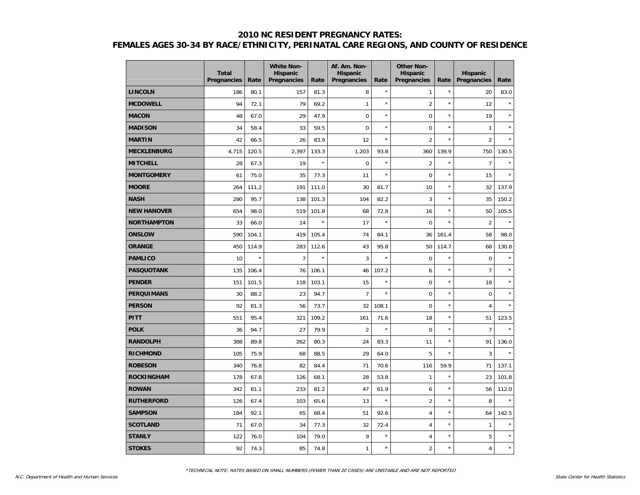|                    | <b>Total</b><br>Pregnancies | Rate    | <b>White Non-</b><br><b>Hispanic</b><br>Pregnancies | Rate    | Af. Am. Non-<br><b>Hispanic</b><br>Pregnancies | Rate                 | <b>Other Non-</b><br>Hispanic<br>Pregnancies | Rate    | <b>Hispanic</b><br>Pregnancies | Rate    |
|--------------------|-----------------------------|---------|-----------------------------------------------------|---------|------------------------------------------------|----------------------|----------------------------------------------|---------|--------------------------------|---------|
| <b>LINCOLN</b>     | 186                         | 80.1    | 157                                                 | 81.3    | 8                                              | $\star$              | 1                                            | $\star$ | 20                             | 83.0    |
| <b>MCDOWELL</b>    | 94                          | 72.1    | 79                                                  | 69.2    | $\mathbf{1}$                                   | $\star$              | $\overline{2}$                               | $\star$ | 12                             | $\star$ |
| <b>MACON</b>       | 48                          | 67.0    | 29                                                  | 47.9    | $\mathbf 0$                                    | $\star$              | $\mathbf 0$                                  | $\star$ | 19                             | $\star$ |
| <b>MADISON</b>     | 34                          | 58.4    | 33                                                  | 59.5    | $\overline{0}$                                 | $\star$              | 0                                            | $\star$ | $\mathbf{1}$                   | $\star$ |
| <b>MARTIN</b>      | 42                          | 66.5    | 26                                                  | 83.9    | 12                                             | $\star$              | $\overline{2}$                               | $\star$ | $\overline{2}$                 |         |
| <b>MECKLENBURG</b> | 4,715                       | 120.5   | 2,397                                               | 133.3   | 1,203                                          | 93.8                 | 360                                          | 139.9   | 750                            | 130.5   |
| <b>MITCHELL</b>    | 28                          | 67.3    | 19                                                  | $\star$ | $\mathbf 0$                                    | $\star$              | $\overline{2}$                               | $\star$ | $\overline{7}$                 | $\star$ |
| <b>MONTGOMERY</b>  | 61                          | 75.0    | 35                                                  | 77.3    | 11                                             | $\star$              | $\mathbf 0$                                  | $\star$ | 15                             | $\star$ |
| <b>MOORE</b>       | 264                         | 111.2   | 191                                                 | 111.0   | 30                                             | 81.7                 | 10                                           | $\star$ | 32                             | 137.9   |
| <b>NASH</b>        | 280                         | 95.7    | 138                                                 | 101.3   | 104                                            | 82.2                 | 3                                            | $\star$ | 35                             | 150.2   |
| <b>NEW HANOVER</b> | 654                         | 98.0    | 519                                                 | 101.8   | 68                                             | 72.8                 | 16                                           | $\star$ | 50                             | 105.5   |
| <b>NORTHAMPTON</b> | 33                          | 66.0    | 14                                                  | $\star$ | 17                                             | $\star$              | $\boldsymbol{0}$                             | $\star$ | $\overline{2}$                 | $\star$ |
| <b>ONSLOW</b>      | 590                         | 104.1   | 419                                                 | 105.4   | 74                                             | 84.1                 | 36                                           | 161.4   | 58                             | 98.0    |
| <b>ORANGE</b>      | 450                         | 114.9   | 283                                                 | 112.6   | 43                                             | 95.8                 | 50                                           | 114.7   | 68                             | 130.8   |
| <b>PAMLICO</b>     | 10                          | $\star$ | $\overline{7}$                                      | $\star$ | 3                                              | $\ddot{\phantom{0}}$ | $\mathbf 0$                                  | $\star$ | $\mathbf 0$                    | $\star$ |
| <b>PASQUOTANK</b>  | 135                         | 106.4   | 76                                                  | 106.1   | 46                                             | 107.2                | 6                                            | $\star$ | $\overline{7}$                 | $\star$ |
| <b>PENDER</b>      | 151                         | 101.5   | 118                                                 | 103.1   | 15                                             | $\star$              | $\boldsymbol{0}$                             | $\star$ | 18                             | $\star$ |
| <b>PERQUIMANS</b>  | 30                          | 88.2    | 23                                                  | 94.7    | $\overline{7}$                                 | $\star$              | $\boldsymbol{0}$                             | $\star$ | $\mathbf 0$                    | $\star$ |
| <b>PERSON</b>      | 92                          | 81.3    | 56                                                  | 73.7    | 32                                             | 108.1                | $\mathbf 0$                                  | $\star$ | $\overline{4}$                 | $\star$ |
| <b>PITT</b>        | 551                         | 95.4    | 321                                                 | 109.2   | 161                                            | 71.6                 | 18                                           | $\star$ | 51                             | 123.5   |
| <b>POLK</b>        | 36                          | 94.7    | 27                                                  | 79.9    | $\overline{2}$                                 | $\star$              | $\Omega$                                     | $\star$ | $\overline{7}$                 |         |
| <b>RANDOLPH</b>    | 388                         | 89.8    | 262                                                 | 80.3    | 24                                             | 83.3                 | 11                                           | $\star$ | 91                             | 136.0   |
| <b>RICHMOND</b>    | 105                         | 75.9    | 68                                                  | 88.5    | 29                                             | 64.0                 | 5                                            | $\star$ | 3                              | $\star$ |
| <b>ROBESON</b>     | 340                         | 76.8    | 82                                                  | 84.4    | 71                                             | 70.6                 | 116                                          | 59.9    | 71                             | 137.1   |
| <b>ROCKINGHAM</b>  | 178                         | 67.8    | 126                                                 | 68.1    | 28                                             | 53.8                 | $\mathbf{1}$                                 | $\star$ | 23                             | 101.8   |
| <b>ROWAN</b>       | 342                         | 81.1    | 233                                                 | 81.2    | 47                                             | 61.9                 | 6                                            | $\star$ | 56                             | 112.0   |
| <b>RUTHERFORD</b>  | 126                         | 67.4    | 103                                                 | 65.6    | 13                                             | $\star$              | $\overline{2}$                               | $\star$ | 8                              | $\star$ |
| <b>SAMPSON</b>     | 184                         | 92.1    | 65                                                  | 68.4    | 51                                             | 92.6                 | $\overline{4}$                               | $\star$ | 64                             | 142.5   |
| <b>SCOTLAND</b>    | 71                          | 67.0    | 34                                                  | 77.3    | 32                                             | 72.4                 | $\overline{4}$                               | $\star$ | $\mathbf{1}$                   | $\star$ |
| <b>STANLY</b>      | 122                         | 76.0    | 104                                                 | 79.0    | 9                                              | $\star$              | $\overline{4}$                               | $\star$ | 5                              | $\star$ |
| <b>STOKES</b>      | 92                          | 74.3    | 85                                                  | 74.8    | $\mathbf{1}$                                   | $\star$              | $\overline{2}$                               | $\star$ | $\overline{4}$                 | $\star$ |